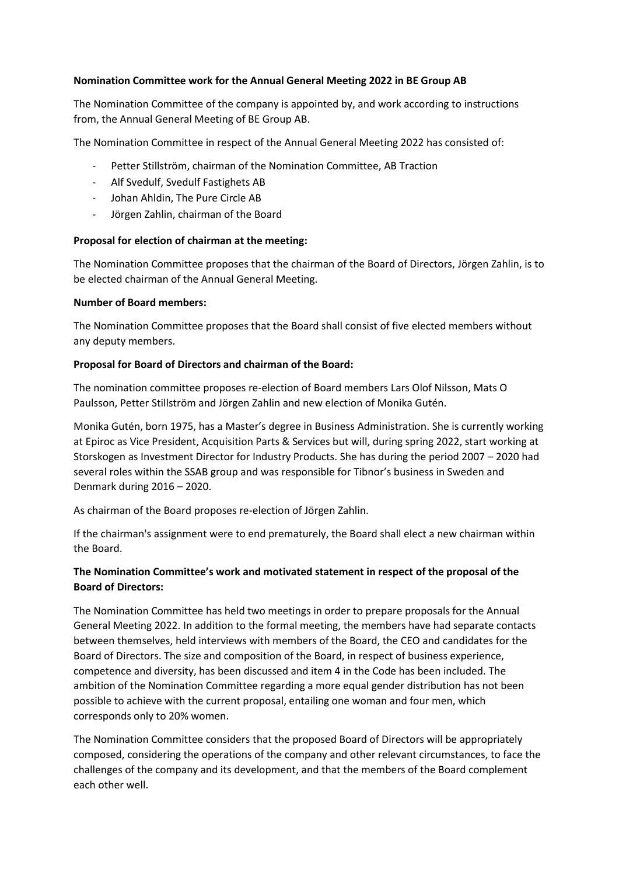## **Nomination Committee work for the Annual General Meeting 2022 in BE Group AB**

The Nomination Committee of the company is appointed by, and work according to instructions from, the Annual General Meeting of BE Group AB.

The Nomination Committee in respect of the Annual General Meeting 2022 has consisted of:

- Petter Stillström, chairman of the Nomination Committee, AB Traction
- Alf Svedulf, Svedulf Fastighets AB
- Johan Ahldin, The Pure Circle AB
- Jörgen Zahlin, chairman of the Board

### **Proposal for election of chairman at the meeting:**

The Nomination Committee proposes that the chairman of the Board of Directors, Jörgen Zahlin, is to be elected chairman of the Annual General Meeting.

### **Number of Board members:**

The Nomination Committee proposes that the Board shall consist of five elected members without any deputy members.

### **Proposal for Board of Directors and chairman of the Board:**

The nomination committee proposes re-election of Board members Lars Olof Nilsson, Mats O Paulsson, Petter Stillström and Jörgen Zahlin and new election of Monika Gutén.

Monika Gutén, born 1975, has a Master's degree in Business Administration. She is currently working at Epiroc as Vice President, Acquisition Parts & Services but will, during spring 2022, start working at Storskogen as Investment Director for Industry Products. She has during the period 2007 – 2020 had several roles within the SSAB group and was responsible for Tibnor's business in Sweden and Denmark during 2016 – 2020.

As chairman of the Board proposes re-election of Jörgen Zahlin.

If the chairman's assignment were to end prematurely, the Board shall elect a new chairman within the Board.

# **The Nomination Committee's work and motivated statement in respect of the proposal of the Board of Directors:**

The Nomination Committee has held two meetings in order to prepare proposals for the Annual General Meeting 2022. In addition to the formal meeting, the members have had separate contacts between themselves, held interviews with members of the Board, the CEO and candidates for the Board of Directors. The size and composition of the Board, in respect of business experience, competence and diversity, has been discussed and item 4 in the Code has been included. The ambition of the Nomination Committee regarding a more equal gender distribution has not been possible to achieve with the current proposal, entailing one woman and four men, which corresponds only to 20% women.

The Nomination Committee considers that the proposed Board of Directors will be appropriately composed, considering the operations of the company and other relevant circumstances, to face the challenges of the company and its development, and that the members of the Board complement each other well.